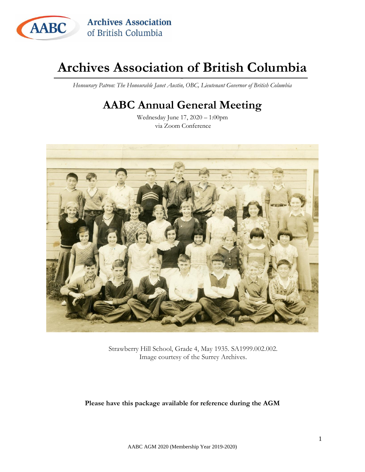

<span id="page-0-0"></span>*Honourary Patron: The Honourable Janet Austin, OBC, Lieutenant Governor of British Columbia*

## **AABC Annual General Meeting**

Wednesday June 17, 2020 – 1:00pm via Zoom Conference



Strawberry Hill School, Grade 4, May 1935. SA1999.002.002. Image courtesy of the Surrey Archives.

**Please have this package available for reference during the AGM**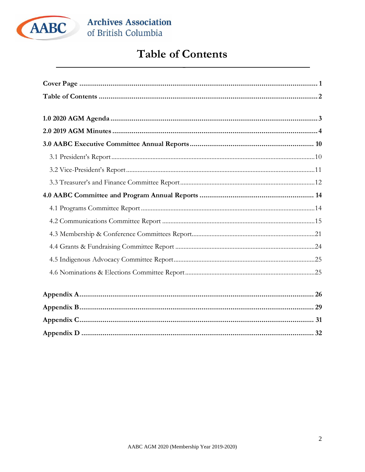

## **Table of Contents**

<span id="page-1-0"></span>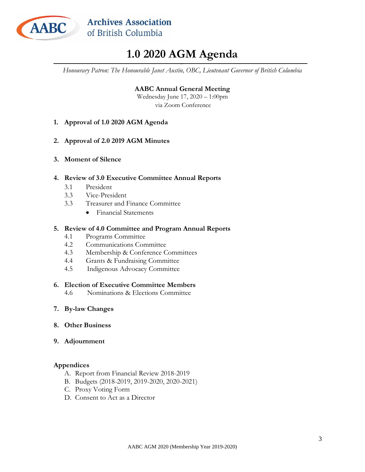

## **1.0 2020 AGM Agenda**

<span id="page-2-0"></span>*Honourary Patron: The Honourable Janet Austin, OBC, Lieutenant Governor of British Columbia*

**AABC Annual General Meeting** Wednesday June 17, 2020 – 1:00pm via Zoom Conference

- **1. Approval of 1.0 2020 AGM Agenda**
- **2. Approval of 2.0 2019 AGM Minutes**
- **3. Moment of Silence**

#### **4. Review of 3.0 Executive Committee Annual Reports**

- 3.1 President
- 3.3 Vice-President
- 3.3 Treasurer and Finance Committee
	- Financial Statements

#### **5. Review of 4.0 Committee and Program Annual Reports**

- 4.1 Programs Committee
- 4.2 Communications Committee
- 4.3 Membership & Conference Committees
- 4.4 Grants & Fundraising Committee
- 4.5 Indigenous Advocacy Committee

#### **6. Election of Executive Committee Members**

- 4.6 Nominations & Elections Committee
- **7. By-law Changes**
- **8. Other Business**
- **9. Adjournment**

#### **Appendices**

- A. Report from Financial Review 2018-2019
- B. Budgets (2018-2019, 2019-2020, 2020-2021)
- C. Proxy Voting Form
- D. Consent to Act as a Director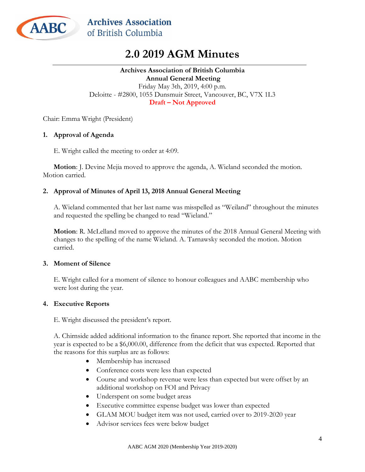<span id="page-3-0"></span>

## **2.0 2019 AGM Minutes**

#### **Archives Association of British Columbia Annual General Meeting** Friday May 3th, 2019, 4:00 p.m. Deloitte - #2800, 1055 Dunsmuir Street, Vancouver, BC, V7X 1L3 **Draft – Not Approved**

Chair: Emma Wright (President)

#### **1. Approval of Agenda**

E. Wright called the meeting to order at 4:09.

**Motion**: J. Devine Mejia moved to approve the agenda, A. Wieland seconded the motion. Motion carried.

#### **2. Approval of Minutes of April 13, 2018 Annual General Meeting**

A. Wieland commented that her last name was misspelled as "Weiland" throughout the minutes and requested the spelling be changed to read "Wieland."

**Motion**: R. McLelland moved to approve the minutes of the 2018 Annual General Meeting with changes to the spelling of the name Wieland. A. Tarnawsky seconded the motion. Motion carried.

#### **3. Moment of Silence**

E. Wright called for a moment of silence to honour colleagues and AABC membership who were lost during the year.

#### **4. Executive Reports**

E. Wright discussed the president's report.

A. Chirnside added additional information to the finance report. She reported that income in the year is expected to be a \$6,000.00, difference from the deficit that was expected. Reported that the reasons for this surplus are as follows:

- Membership has increased
- Conference costs were less than expected
- Course and workshop revenue were less than expected but were offset by an additional workshop on FOI and Privacy
- Underspent on some budget areas
- Executive committee expense budget was lower than expected
- GLAM MOU budget item was not used, carried over to 2019-2020 year
- Advisor services fees were below budget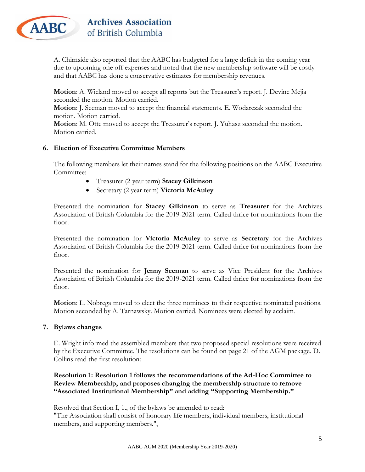

A. Chirnside also reported that the AABC has budgeted for a large deficit in the coming year due to upcoming one off expenses and noted that the new membership software will be costly and that AABC has done a conservative estimates for membership revenues.

**Motion**: A. Wieland moved to accept all reports but the Treasurer's report. J. Devine Mejia seconded the motion. Motion carried.

**Motion**: J. Seeman moved to accept the financial statements. E. Wodarczak seconded the motion. Motion carried.

**Motion**: M. Otte moved to accept the Treasurer's report. J. Yuhasz seconded the motion. Motion carried.

#### **6. Election of Executive Committee Members**

The following members let their names stand for the following positions on the AABC Executive Committee:

- Treasurer (2 year term) **Stacey Gilkinson**
- Secretary (2 year term) **Victoria McAuley**

Presented the nomination for **Stacey Gilkinson** to serve as **Treasurer** for the Archives Association of British Columbia for the 2019-2021 term. Called thrice for nominations from the floor.

Presented the nomination for **Victoria McAuley** to serve as **Secretary** for the Archives Association of British Columbia for the 2019-2021 term. Called thrice for nominations from the floor.

Presented the nomination for **Jenny Seeman** to serve as Vice President for the Archives Association of British Columbia for the 2019-2021 term. Called thrice for nominations from the floor.

**Motion**: L. Nobrega moved to elect the three nominees to their respective nominated positions. Motion seconded by A. Tarnawsky. Motion carried. Nominees were elected by acclaim.

#### **7. Bylaws changes**

E. Wright informed the assembled members that two proposed special resolutions were received by the Executive Committee. The resolutions can be found on page 21 of the AGM package. D. Collins read the first resolution:

**Resolution 1: Resolution 1 follows the recommendations of the Ad-Hoc Committee to Review Membership, and proposes changing the membership structure to remove "Associated Institutional Membership" and adding "Supporting Membership."**

Resolved that Section I, 1., of the bylaws be amended to read: "The Association shall consist of honorary life members, individual members, institutional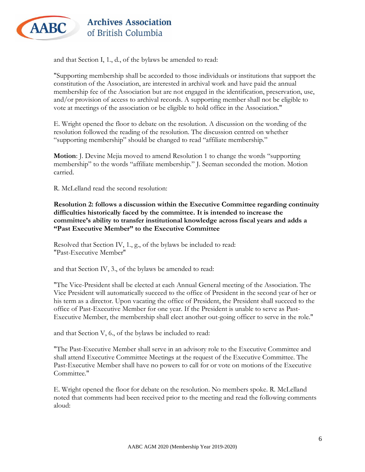

and that Section I, 1., d., of the bylaws be amended to read:

"Supporting membership shall be accorded to those individuals or institutions that support the constitution of the Association, are interested in archival work and have paid the annual membership fee of the Association but are not engaged in the identification, preservation, use, and/or provision of access to archival records. A supporting member shall not be eligible to vote at meetings of the association or be eligible to hold office in the Association."

E. Wright opened the floor to debate on the resolution. A discussion on the wording of the resolution followed the reading of the resolution. The discussion centred on whether "supporting membership" should be changed to read "affiliate membership."

**Motion**: J. Devine Mejia moved to amend Resolution 1 to change the words "supporting membership" to the words "affiliate membership." J. Seeman seconded the motion. Motion carried.

R. McLelland read the second resolution:

**Resolution 2: follows a discussion within the Executive Committee regarding continuity difficulties historically faced by the committee. It is intended to increase the committee's ability to transfer institutional knowledge across fiscal years and adds a "Past Executive Member" to the Executive Committee**

Resolved that Section IV, 1., g., of the bylaws be included to read: "Past-Executive Member''

and that Section IV, 3., of the bylaws be amended to read:

"The Vice-President shall be elected at each Annual General meeting of the Association. The Vice President will automatically succeed to the office of President in the second year of her or his term as a director. Upon vacating the office of President, the President shall succeed to the office of Past-Executive Member for one year. If the President is unable to serve as Past-Executive Member, the membership shall elect another out-going officer to serve in the role."

and that Section V, 6., of the bylaws be included to read:

"The Past-Executive Member shall serve in an advisory role to the Executive Committee and shall attend Executive Committee Meetings at the request of the Executive Committee. The Past-Executive Member shall have no powers to call for or vote on motions of the Executive Committee."

E. Wright opened the floor for debate on the resolution. No members spoke. R. McLelland noted that comments had been received prior to the meeting and read the following comments aloud: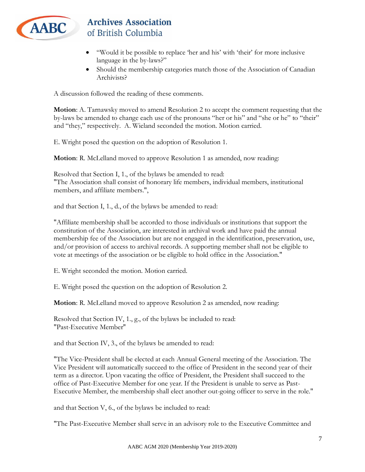

- "Would it be possible to replace 'her and his' with 'their' for more inclusive language in the by-laws?"
- Should the membership categories match those of the Association of Canadian Archivists?

A discussion followed the reading of these comments.

**Motion**: A. Tarnawsky moved to amend Resolution 2 to accept the comment requesting that the by-laws be amended to change each use of the pronouns "her or his" and "she or he" to "their" and "they," respectively. A. Wieland seconded the motion. Motion carried.

E. Wright posed the question on the adoption of Resolution 1.

**Motion**: R. McLelland moved to approve Resolution 1 as amended, now reading:

Resolved that Section I, 1., of the bylaws be amended to read: "The Association shall consist of honorary life members, individual members, institutional members, and affiliate members.",

and that Section I, 1., d., of the bylaws be amended to read:

"Affiliate membership shall be accorded to those individuals or institutions that support the constitution of the Association, are interested in archival work and have paid the annual membership fee of the Association but are not engaged in the identification, preservation, use, and/or provision of access to archival records. A supporting member shall not be eligible to vote at meetings of the association or be eligible to hold office in the Association."

E. Wright seconded the motion. Motion carried.

E. Wright posed the question on the adoption of Resolution 2.

**Motion**: R. McLelland moved to approve Resolution 2 as amended, now reading:

Resolved that Section IV, 1., g., of the bylaws be included to read: "Past-Executive Member''

and that Section IV, 3., of the bylaws be amended to read:

"The Vice-President shall be elected at each Annual General meeting of the Association. The Vice President will automatically succeed to the office of President in the second year of their term as a director. Upon vacating the office of President, the President shall succeed to the office of Past-Executive Member for one year. If the President is unable to serve as Past-Executive Member, the membership shall elect another out-going officer to serve in the role."

and that Section V, 6., of the bylaws be included to read:

"The Past-Executive Member shall serve in an advisory role to the Executive Committee and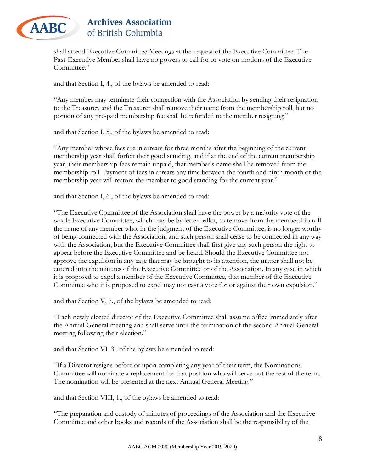

shall attend Executive Committee Meetings at the request of the Executive Committee. The Past-Executive Member shall have no powers to call for or vote on motions of the Executive Committee."

and that Section I, 4., of the bylaws be amended to read:

"Any member may terminate their connection with the Association by sending their resignation to the Treasurer, and the Treasurer shall remove their name from the membership roll, but no portion of any pre-paid membership fee shall be refunded to the member resigning."

and that Section I, 5., of the bylaws be amended to read:

"Any member whose fees are in arrears for three months after the beginning of the current membership year shall forfeit their good standing, and if at the end of the current membership year, their membership fees remain unpaid, that member's name shall be removed from the membership roll. Payment of fees in arrears any time between the fourth and ninth month of the membership year will restore the member to good standing for the current year."

and that Section I, 6., of the bylaws be amended to read:

"The Executive Committee of the Association shall have the power by a majority vote of the whole Executive Committee, which may be by letter ballot, to remove from the membership roll the name of any member who, in the judgment of the Executive Committee, is no longer worthy of being connected with the Association, and such person shall cease to be connected in any way with the Association, but the Executive Committee shall first give any such person the right to appear before the Executive Committee and be heard. Should the Executive Committee not approve the expulsion in any case that may be brought to its attention, the matter shall not be entered into the minutes of the Executive Committee or of the Association. In any case in which it is proposed to expel a member of the Executive Committee, that member of the Executive Committee who it is proposed to expel may not cast a vote for or against their own expulsion."

and that Section V, 7., of the bylaws be amended to read:

"Each newly elected director of the Executive Committee shall assume office immediately after the Annual General meeting and shall serve until the termination of the second Annual General meeting following their election."

and that Section VI, 3., of the bylaws be amended to read:

"If a Director resigns before or upon completing any year of their term, the Nominations Committee will nominate a replacement for that position who will serve out the rest of the term. The nomination will be presented at the next Annual General Meeting."

and that Section VIII, 1., of the bylaws be amended to read:

"The preparation and custody of minutes of proceedings of the Association and the Executive Committee and other books and records of the Association shall be the responsibility of the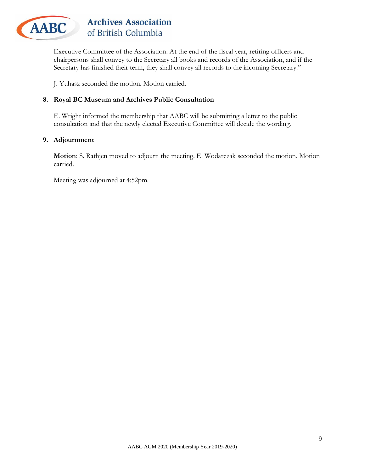

Executive Committee of the Association. At the end of the fiscal year, retiring officers and chairpersons shall convey to the Secretary all books and records of the Association, and if the Secretary has finished their term, they shall convey all records to the incoming Secretary."

J. Yuhasz seconded the motion. Motion carried.

#### **8. Royal BC Museum and Archives Public Consultation**

E. Wright informed the membership that AABC will be submitting a letter to the public consultation and that the newly elected Executive Committee will decide the wording.

#### **9. Adjournment**

**Motion**: S. Rathjen moved to adjourn the meeting. E. Wodarczak seconded the motion. Motion carried.

Meeting was adjourned at 4:52pm.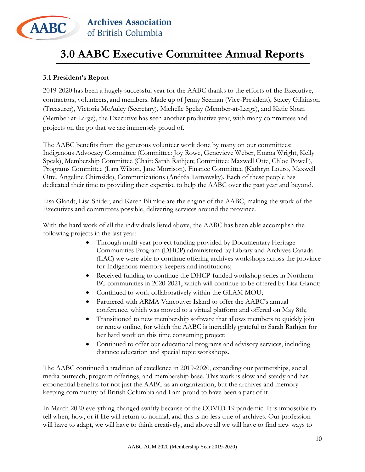

## <span id="page-9-0"></span>**3.0 AABC Executive Committee Annual Reports**

#### <span id="page-9-1"></span>**3.1 President's Report**

2019-2020 has been a hugely successful year for the AABC thanks to the efforts of the Executive, contractors, volunteers, and members. Made up of Jenny Seeman (Vice-President), Stacey Gilkinson (Treasurer), Victoria McAuley (Secretary), Michelle Spelay (Member-at-Large), and Katie Sloan (Member-at-Large), the Executive has seen another productive year, with many committees and projects on the go that we are immensely proud of.

The AABC benefits from the generous volunteer work done by many on our committees: Indigenous Advocacy Committee (Committee: Joy Rowe, Genevieve Weber, Emma Wright, Kelly Speak), Membership Committee (Chair: Sarah Rathjen; Committee: Maxwell Otte, Chloe Powell), Programs Committee (Lara Wilson, Jane Morrison), Finance Committee (Kathryn Louro, Maxwell Otte, Angeline Chirnside), Communications (Andréa Tarnawsky). Each of these people has dedicated their time to providing their expertise to help the AABC over the past year and beyond.

Lisa Glandt, Lisa Snider, and Karen Blimkie are the engine of the AABC, making the work of the Executives and committees possible, delivering services around the province.

With the hard work of all the individuals listed above, the AABC has been able accomplish the following projects in the last year:

- Through multi-year project funding provided by Documentary Heritage Communities Program (DHCP) administered by Library and Archives Canada (LAC) we were able to continue offering archives workshops across the province for Indigenous memory keepers and institutions;
- Received funding to continue the DHCP-funded workshop series in Northern BC communities in 2020-2021, which will continue to be offered by Lisa Glandt;
- Continued to work collaboratively within the GLAM MOU;
- Partnered with ARMA Vancouver Island to offer the AABC's annual conference, which was moved to a virtual platform and offered on May 8th;
- Transitioned to new membership software that allows members to quickly join or renew online, for which the AABC is incredibly grateful to Sarah Rathjen for her hard work on this time consuming project;
- Continued to offer our educational programs and advisory services, including distance education and special topic workshops.

The AABC continued a tradition of excellence in 2019-2020, expanding our partnerships, social media outreach, program offerings, and membership base. This work is slow and steady and has exponential benefits for not just the AABC as an organization, but the archives and memorykeeping community of British Columbia and I am proud to have been a part of it.

In March 2020 everything changed swiftly because of the COVID-19 pandemic. It is impossible to tell when, how, or if life will return to normal, and this is no less true of archives. Our profession will have to adapt, we will have to think creatively, and above all we will have to find new ways to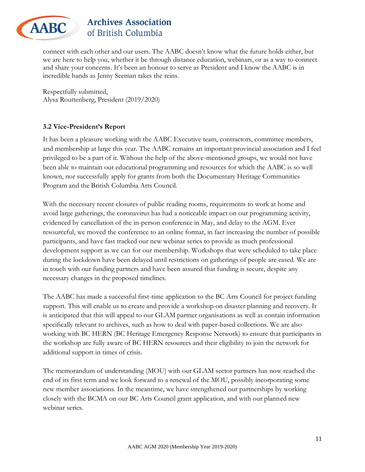

connect with each other and our users. The AABC doesn't know what the future holds either, but we are here to help you, whether it be through distance education, webinars, or as a way to connect and share your concerns. It's been an honour to serve as President and I know the AABC is in incredible hands as Jenny Seeman takes the reins.

Respectfully submitted, Alysa Routtenberg, President (2019/2020)

### <span id="page-10-0"></span>**3.2 Vice-President's Report**

It has been a pleasure working with the AABC Executive team, contractors, committee members, and membership at large this year. The AABC remains an important provincial association and I feel privileged to be a part of it. Without the help of the above-mentioned groups, we would not have been able to maintain our educational programming and resources for which the AABC is so well known, nor successfully apply for grants from both the Documentary Heritage Communities Program and the British Columbia Arts Council.

With the necessary recent closures of public reading rooms, requirements to work at home and avoid large gatherings, the coronavirus has had a noticeable impact on our programming activity, evidenced by cancellation of the in-person conference in May, and delay to the AGM. Ever resourceful, we moved the conference to an online format, in fact increasing the number of possible participants, and have fast tracked our new webinar series to provide as much professional development support as we can for our membership. Workshops that were scheduled to take place during the lockdown have been delayed until restrictions on gatherings of people are eased. We are in touch with our funding partners and have been assured that funding is secure, despite any necessary changes in the proposed timelines.

The AABC has made a successful first-time application to the BC Arts Council for project funding support. This will enable us to create and provide a workshop on disaster planning and recovery. It is anticipated that this will appeal to our GLAM partner organisations as well as contain information specifically relevant to archives, such as how to deal with paper-based collections. We are also working with BC HERN (BC Heritage Emergency Response Network) to ensure that participants in the workshop are fully aware of BC HERN resources and their eligibility to join the network for additional support in times of crisis.

The memorandum of understanding (MOU) with our GLAM sector partners has now reached the end of its first term and we look forward to a renewal of the MOU, possibly incorporating some new member associations. In the meantime, we have strengthened our partnerships by working closely with the BCMA on our BC Arts Council grant application, and with our planned new webinar series.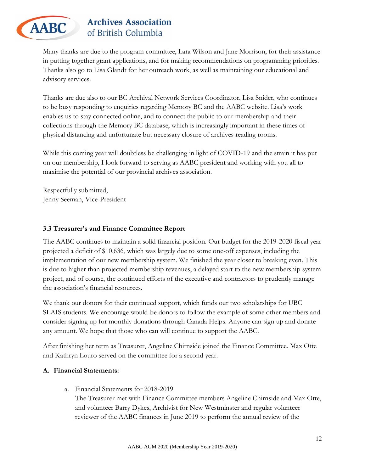

Many thanks are due to the program committee, Lara Wilson and Jane Morrison, for their assistance in putting together grant applications, and for making recommendations on programming priorities. Thanks also go to Lisa Glandt for her outreach work, as well as maintaining our educational and advisory services.

Thanks are due also to our BC Archival Network Services Coordinator, Lisa Snider, who continues to be busy responding to enquiries regarding Memory BC and the AABC website. Lisa's work enables us to stay connected online, and to connect the public to our membership and their collections through the Memory BC database, which is increasingly important in these times of physical distancing and unfortunate but necessary closure of archives reading rooms.

While this coming year will doubtless be challenging in light of COVID-19 and the strain it has put on our membership, I look forward to serving as AABC president and working with you all to maximise the potential of our provincial archives association.

Respectfully submitted, Jenny Seeman, Vice-President

### <span id="page-11-0"></span>**3.3 Treasurer's and Finance Committee Report**

The AABC continues to maintain a solid financial position. Our budget for the 2019-2020 fiscal year projected a deficit of \$10,636, which was largely due to some one-off expenses, including the implementation of our new membership system. We finished the year closer to breaking even. This is due to higher than projected membership revenues, a delayed start to the new membership system project, and of course, the continued efforts of the executive and contractors to prudently manage the association's financial resources.

We thank our donors for their continued support, which funds our two scholarships for UBC SLAIS students. We encourage would-be donors to follow the example of some other members and consider signing up for monthly donations through Canada Helps. Anyone can sign up and donate any amount. We hope that those who can will continue to support the AABC.

After finishing her term as Treasurer, Angeline Chirnside joined the Finance Committee. Max Otte and Kathryn Louro served on the committee for a second year.

#### **A. Financial Statements:**

a. Financial Statements for 2018-2019

The Treasurer met with Finance Committee members Angeline Chirnside and Max Otte, and volunteer Barry Dykes, Archivist for New Westminster and regular volunteer reviewer of the AABC finances in June 2019 to perform the annual review of the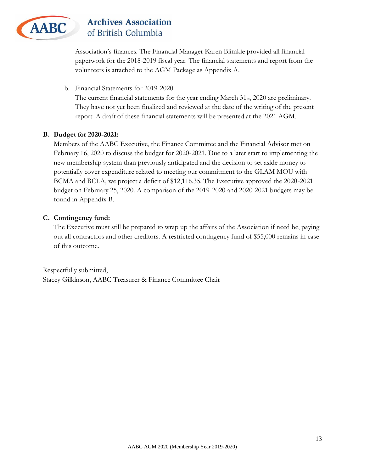

Association's finances. The Financial Manager Karen Blimkie provided all financial paperwork for the 2018-2019 fiscal year. The financial statements and report from the volunteers is attached to the AGM Package as Appendix A.

b. Financial Statements for 2019-2020

The current financial statements for the year ending March 31st, 2020 are preliminary. They have not yet been finalized and reviewed at the date of the writing of the present report. A draft of these financial statements will be presented at the 2021 AGM.

#### **B. Budget for 2020-2021:**

Members of the AABC Executive, the Finance Committee and the Financial Advisor met on February 16, 2020 to discuss the budget for 2020-2021. Due to a later start to implementing the new membership system than previously anticipated and the decision to set aside money to potentially cover expenditure related to meeting our commitment to the GLAM MOU with BCMA and BCLA, we project a deficit of \$12,116.35. The Executive approved the 2020-2021 budget on February 25, 2020. A comparison of the 2019-2020 and 2020-2021 budgets may be found in Appendix B.

#### **C. Contingency fund:**

The Executive must still be prepared to wrap up the affairs of the Association if need be, paying out all contractors and other creditors. A restricted contingency fund of \$55,000 remains in case of this outcome.

Respectfully submitted, Stacey Gilkinson, AABC Treasurer & Finance Committee Chair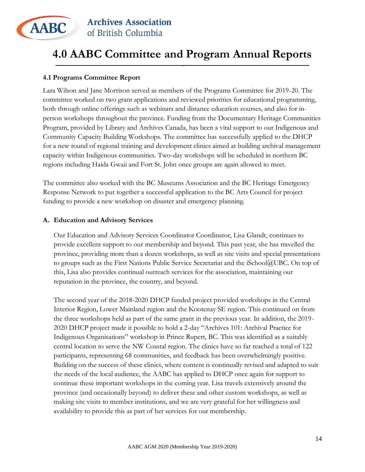

## <span id="page-13-0"></span>**4.0 AABC Committee and Program Annual Reports**

#### <span id="page-13-1"></span>**4.1 Programs Committee Report**

Lara Wilson and Jane Morrison served as members of the Programs Committee for 2019-20. The committee worked on two grant applications and reviewed priorities for educational programming, both through online offerings such as webinars and distance education courses, and also for inperson workshops throughout the province. Funding from the Documentary Heritage Communities Program, provided by Library and Archives Canada, has been a vital support to our Indigenous and Community Capacity Building Workshops. The committee has successfully applied to the DHCP for a new round of regional training and development clinics aimed at building archival management capacity within Indigenous communities. Two-day workshops will be scheduled in northern BC regions including Haida Gwaii and Fort St. John once groups are again allowed to meet.

The committee also worked with the BC Museums Association and the BC Heritage Emergency Response Network to put together a successful application to the BC Arts Council for project funding to provide a new workshop on disaster and emergency planning.

#### **A. Education and Advisory Services**

Our Education and Advisory Services Coordinator Coordinator, Lisa Glandt, continues to provide excellent support to our membership and beyond. This past year, she has travelled the province, providing more than a dozen workshops, as well as site visits and special presentations to groups such as the First Nations Public Service Secretariat and the iSchool@UBC. On top of this, Lisa also provides continual outreach services for the association, maintaining our reputation in the province, the country, and beyond.

The second year of the 2018-2020 DHCP funded project provided workshops in the Central Interior Region, Lower Mainland region and the Kootenay SE region. This continued on from the three workshops held as part of the same grant in the previous year. In addition, the 2019- 2020 DHCP project made it possible to hold a 2-day "Archives 101: Archival Practice for Indigenous Organisations" workshop in Prince Rupert, BC. This was identified as a suitably central location to serve the NW Coastal region. The clinics have so far reached a total of 122 participants, representing 68 communities, and feedback has been overwhelmingly positive. Building on the success of these clinics, where content is continually revised and adapted to suit the needs of the local audience, the AABC has applied to DHCP once again for support to continue these important workshops in the coming year. Lisa travels extensively around the province (and occasionally beyond) to deliver these and other custom workshops, as well as making site visits to member institutions, and we are very grateful for her willingness and availability to provide this as part of her services for our membership.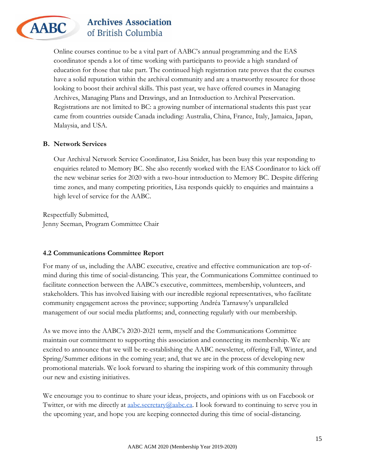

Online courses continue to be a vital part of AABC's annual programming and the EAS coordinator spends a lot of time working with participants to provide a high standard of education for those that take part. The continued high registration rate proves that the courses have a solid reputation within the archival community and are a trustworthy resource for those looking to boost their archival skills. This past year, we have offered courses in Managing Archives, Managing Plans and Drawings, and an Introduction to Archival Preservation. Registrations are not limited to BC: a growing number of international students this past year came from countries outside Canada including: Australia, China, France, Italy, Jamaica, Japan, Malaysia, and USA.

#### **B. Network Services**

Our Archival Network Service Coordinator, Lisa Snider, has been busy this year responding to enquiries related to Memory BC. She also recently worked with the EAS Coordinator to kick off the new webinar series for 2020 with a two-hour introduction to Memory BC. Despite differing time zones, and many competing priorities, Lisa responds quickly to enquiries and maintains a high level of service for the AABC.

Respectfully Submitted, Jenny Seeman, Program Committee Chair

#### <span id="page-14-0"></span>**4.2 Communications Committee Report**

For many of us, including the AABC executive, creative and effective communication are top-ofmind during this time of social-distancing. This year, the Communications Committee continued to facilitate connection between the AABC's executive, committees, membership, volunteers, and stakeholders. This has involved liaising with our incredible regional representatives, who facilitate community engagement across the province; supporting Andréa Tarnawsy's unparalleled management of our social media platforms; and, connecting regularly with our membership.

As we move into the AABC's 2020-2021 term, myself and the Communications Committee maintain our commitment to supporting this association and connecting its membership. We are excited to announce that we will be re-establishing the AABC newsletter, offering Fall, Winter, and Spring/Summer editions in the coming year; and, that we are in the process of developing new promotional materials. We look forward to sharing the inspiring work of this community through our new and existing initiatives.

We encourage you to continue to share your ideas, projects, and opinions with us on Facebook or Twitter, or with me directly at [aabc.secretary@aabc.ca.](mailto:aabc.secretary@aabc.ca) I look forward to continuing to serve you in the upcoming year, and hope you are keeping connected during this time of social-distancing.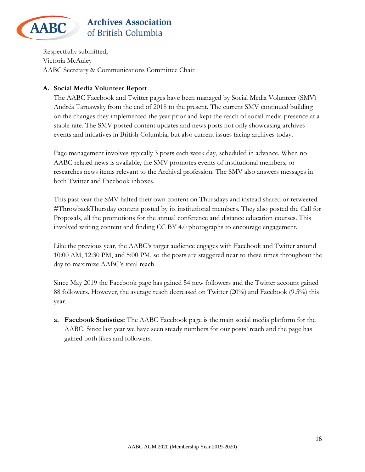

Respectfully submitted, Victoria McAuley AABC Secretary & Communications Committee Chair

### **A. Social Media Volunteer Report**

The AABC Facebook and Twitter pages have been managed by Social Media Volunteer (SMV) Andréa Tarnawsky from the end of 2018 to the present. The current SMV continued building on the changes they implemented the year prior and kept the reach of social media presence at a stable rate. The SMV posted content updates and news posts not only showcasing archives events and initiatives in British Columbia, but also current issues facing archives today.

Page management involves typically 3 posts each week day, scheduled in advance. When no AABC related news is available, the SMV promotes events of institutional members, or researches news items relevant to the Archival profession. The SMV also answers messages in both Twitter and Facebook inboxes.

This past year the SMV halted their own content on Thursdays and instead shared or retweeted #ThrowbackThursday content posted by its institutional members. They also posted the Call for Proposals, all the promotions for the annual conference and distance education courses. This involved writing content and finding CC BY 4.0 photographs to encourage engagement.

Like the previous year, the AABC's target audience engages with Facebook and Twitter around 10:00 AM, 12:30 PM, and 5:00 PM, so the posts are staggered near to these times throughout the day to maximize AABC's total reach.

Since May 2019 the Facebook page has gained 54 new followers and the Twitter account gained 88 followers. However, the average reach decreased on Twitter (20%) and Facebook (9.5%) this year.

**a. Facebook Statistics:** The AABC Facebook page is the main social media platform for the AABC. Since last year we have seen steady numbers for our posts' reach and the page has gained both likes and followers.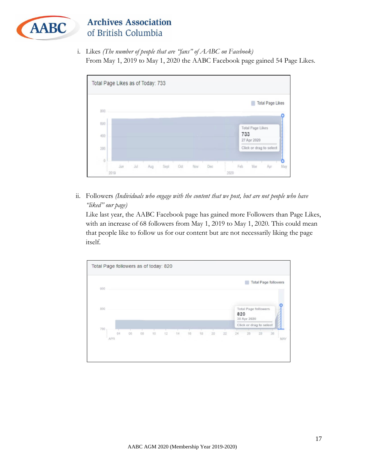

i. Likes *(The number of people that are "fans" of AABC on Facebook)* From May 1, 2019 to May 1, 2020 the AABC Facebook page gained 54 Page Likes.



ii. Followers *(Individuals who engage with the content that we post, but are not people who have "liked" our page)*

Like last year, the AABC Facebook page has gained more Followers than Page Likes, with an increase of 68 followers from May 1, 2019 to May 1, 2020. This could mean that people like to follow us for our content but are not necessarily liking the page itself.

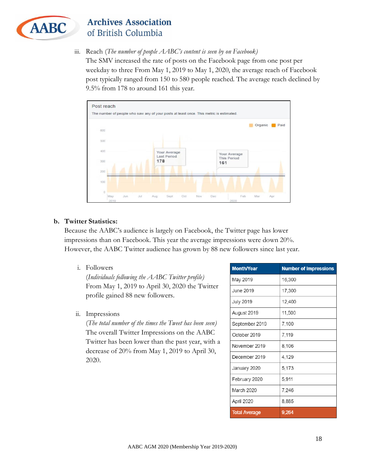

iii. Reach (*The number of people AABC's content is seen by on Facebook)*

The SMV increased the rate of posts on the Facebook page from one post per weekday to three From May 1, 2019 to May 1, 2020, the average reach of Facebook post typically ranged from 150 to 580 people reached. The average reach declined by 9.5% from 178 to around 161 this year.



#### **b. Twitter Statistics:**

Because the AABC's audience is largely on Facebook, the Twitter page has lower impressions than on Facebook. This year the average impressions were down 20%. However, the AABC Twitter audience has grown by 88 new followers since last year.

i. Followers

(*Individuals following the AABC Twitter profile)* From May 1, 2019 to April 30, 2020 the Twitter profile gained 88 new followers.

ii. Impressions

(*The total number of the times the Tweet has been seen)* The overall Twitter Impressions on the AABC Twitter has been lower than the past year, with a decrease of 20% from May 1, 2019 to April 30, 2020.

| <b>Month/Year</b>    | <b>Number of Impressions</b> |
|----------------------|------------------------------|
| May 2019             | 16,300                       |
| June 2019            | 17,300                       |
| <b>July 2019</b>     | 12,400                       |
| August 2019          | 11,500                       |
| September 2019       | 7,100                        |
| October 2019         | 7.119                        |
| November 2019        | 8,106                        |
| December 2019        | 4,129                        |
| January 2020         | 5.173                        |
| February 2020        | 5,911                        |
| March 2020           | 7,246                        |
| April 2020           | 8,885                        |
| <b>Total Average</b> | 9,264                        |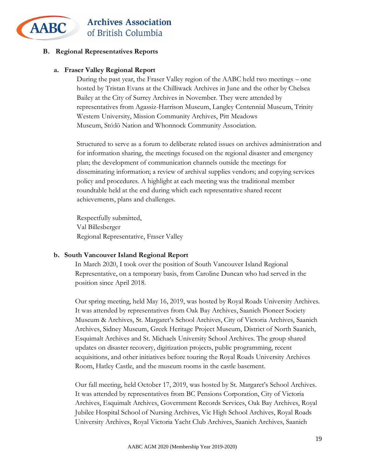

#### **B. Regional Representatives Reports**

#### **a. Fraser Valley Regional Report**

During the past year, the Fraser Valley region of the AABC held two meetings – one hosted by Tristan Evans at the Chilliwack Archives in June and the other by Chelsea Bailey at the City of Surrey Archives in November. They were attended by representatives from Agassiz-Harrison Museum, Langley Centennial Museum, Trinity Western University, Mission Community Archives, Pitt Meadows Museum, Stó:lō Nation and Whonnock Community Association.

Structured to serve as a forum to deliberate related issues on archives administration and for information sharing, the meetings focused on the regional disaster and emergency plan; the development of communication channels outside the meetings for disseminating information; a review of archival supplies vendors; and copying services policy and procedures. A highlight at each meeting was the traditional member roundtable held at the end during which each representative shared recent achievements, plans and challenges.

Respectfully submitted, Val Billesberger Regional Representative, Fraser Valley

#### **b. South Vancouver Island Regional Report**

In March 2020, I took over the position of South Vancouver Island Regional Representative, on a temporary basis, from Caroline Duncan who had served in the position since April 2018.

Our spring meeting, held May 16, 2019, was hosted by Royal Roads University Archives. It was attended by representatives from Oak Bay Archives, Saanich Pioneer Society Museum & Archives, St. Margaret's School Archives, City of Victoria Archives, Saanich Archives, Sidney Museum, Greek Heritage Project Museum, District of North Saanich, Esquimalt Archives and St. Michaels University School Archives. The group shared updates on disaster recovery, digitization projects, public programming, recent acquisitions, and other initiatives before touring the Royal Roads University Archives Room, Hatley Castle, and the museum rooms in the castle basement.

Our fall meeting, held October 17, 2019, was hosted by St. Margaret's School Archives. It was attended by representatives from BC Pensions Corporation, City of Victoria Archives, Esquimalt Archives, Government Records Services, Oak Bay Archives, Royal Jubilee Hospital School of Nursing Archives, Vic High School Archives, Royal Roads University Archives, Royal Victoria Yacht Club Archives, Saanich Archives, Saanich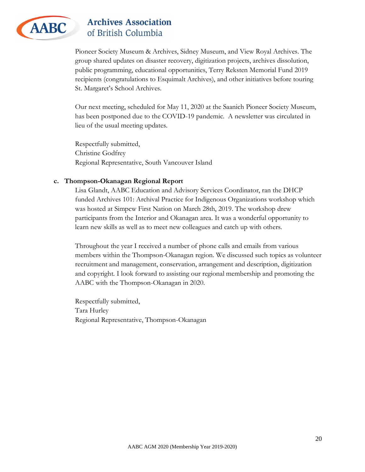

Pioneer Society Museum & Archives, Sidney Museum, and View Royal Archives. The group shared updates on disaster recovery, digitization projects, archives dissolution, public programming, educational opportunities, Terry Reksten Memorial Fund 2019 recipients (congratulations to Esquimalt Archives), and other initiatives before touring St. Margaret's School Archives.

Our next meeting, scheduled for May 11, 2020 at the Saanich Pioneer Society Museum, has been postponed due to the COVID-19 pandemic. A newsletter was circulated in lieu of the usual meeting updates.

Respectfully submitted, Christine Godfrey Regional Representative, South Vancouver Island

#### **c. Thompson-Okanagan Regional Report**

Lisa Glandt, AABC Education and Advisory Services Coordinator, ran the DHCP funded Archives 101: Archival Practice for Indigenous Organizations workshop which was hosted at Simpcw First Nation on March 28th, 2019. The workshop drew participants from the Interior and Okanagan area. It was a wonderful opportunity to learn new skills as well as to meet new colleagues and catch up with others.

Throughout the year I received a number of phone calls and emails from various members within the Thompson-Okanagan region. We discussed such topics as volunteer recruitment and management, conservation, arrangement and description, digitization and copyright. I look forward to assisting our regional membership and promoting the AABC with the Thompson-Okanagan in 2020.

Respectfully submitted, Tara Hurley Regional Representative, Thompson-Okanagan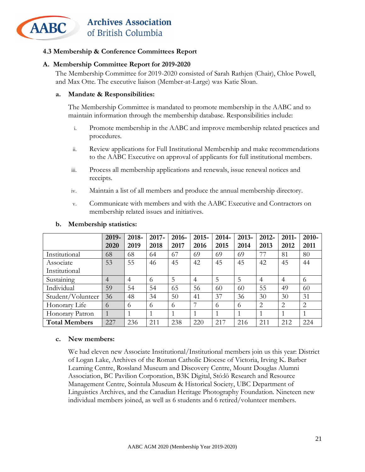

#### <span id="page-20-0"></span>**4.3 Membership & Conference Committees Report**

#### **A. Membership Committee Report for 2019-2020**

The Membership Committee for 2019-2020 consisted of Sarah Rathjen (Chair), Chloe Powell, and Max Otte. The executive liaison (Member-at-Large) was Katie Sloan.

#### **a. Mandate & Responsibilities:**

The Membership Committee is mandated to promote membership in the AABC and to maintain information through the membership database. Responsibilities include:

- i. Promote membership in the AABC and improve membership related practices and procedures.
- ii. Review applications for Full Institutional Membership and make recommendations to the AABC Executive on approval of applicants for full institutional members.
- iii. Process all membership applications and renewals, issue renewal notices and receipts.
- iv. Maintain a list of all members and produce the annual membership directory.
- v. Communicate with members and with the AABC Executive and Contractors on membership related issues and initiatives.

|                      | 2019- | 2018- | $2017 -$ | 2016- | $2015 -$       | $2014 -$ | $2013 -$ | 2012-          | 2011-          | 2010-          |
|----------------------|-------|-------|----------|-------|----------------|----------|----------|----------------|----------------|----------------|
|                      | 2020  | 2019  | 2018     | 2017  | 2016           | 2015     | 2014     | 2013           | 2012           | 2011           |
| Institutional        | 68    | 68    | 64       | 67    | 69             | 69       | 69       | 77             | 81             | 80             |
| Associate            | 53    | 55    | 46       | 45    | 42             | 45       | 45       | 42             | 45             | 44             |
| Institutional        |       |       |          |       |                |          |          |                |                |                |
| Sustaining           | 4     | 4     | $\Omega$ | 5     | $\overline{4}$ | 5        | 5        | $\overline{4}$ | $\overline{4}$ | 6              |
| Individual           | 59    | 54    | 54       | 65    | 56             | 60       | 60       | 55             | 49             | 60             |
| Student/Volunteer    | 36    | 48    | 34       | 50    | 41             | 37       | 36       | 30             | 30             | 31             |
| Honorary Life        | 6     | 6     | 6        | 6     |                | 6        | 6        | $\overline{2}$ | $\overline{2}$ | $\overline{2}$ |
| Honorary Patron      |       |       |          |       |                |          |          |                |                |                |
| <b>Total Members</b> | 227   | 236   | 211      | 238   | 220            | 217      | 216      | 211            | 212            | 224            |

#### **b. Membership statistics:**

#### **c. New members:**

We had eleven new Associate Institutional/Institutional members join us this year: District of Logan Lake, Archives of the Roman Catholic Diocese of Victoria, Irving K. Barber Learning Centre, Rossland Museum and Discovery Centre, Mount Douglas Alumni Association, BC Pavilion Corporation, B3K Digital, Stó:lō Research and Resource Management Centre, Sointula Museum & Historical Society, UBC Department of Linguistics Archives, and the Canadian Heritage Photography Foundation. Nineteen new individual members joined, as well as 6 students and 6 retired/volunteer members.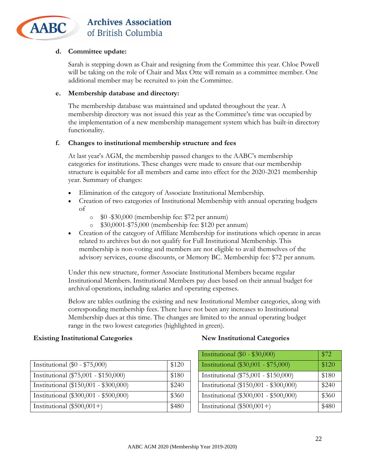

#### **d. Committee update:**

Sarah is stepping down as Chair and resigning from the Committee this year. Chloe Powell will be taking on the role of Chair and Max Otte will remain as a committee member. One additional member may be recruited to join the Committee.

#### **e. Membership database and directory:**

The membership database was maintained and updated throughout the year. A membership directory was not issued this year as the Committee's time was occupied by the implementation of a new membership management system which has built-in directory functionality.

#### **f. Changes to institutional membership structure and fees**

At last year's AGM, the membership passed changes to the AABC's membership categories for institutions. These changes were made to ensure that our membership structure is equitable for all members and came into effect for the 2020-2021 membership year. Summary of changes:

- Elimination of the category of Associate Institutional Membership.
- Creation of two categories of Institutional Membership with annual operating budgets of
	- o \$0 -\$30,000 (membership fee: \$72 per annum)
	- o \$30,0001-\$75,000 (membership fee: \$120 per annum)
- Creation of the category of Affiliate Membership for institutions which operate in areas related to archives but do not qualify for Full Institutional Membership. This membership is non-voting and members are not eligible to avail themselves of the advisory services, course discounts, or Memory BC. Membership fee: \$72 per annum.

Under this new structure, former Associate Institutional Members became regular Institutional Members. Institutional Members pay dues based on their annual budget for archival operations, including salaries and operating expenses.

Below are tables outlining the existing and new Institutional Member categories, along with corresponding membership fees. There have not been any increases to Institutional Membership dues at this time. The changes are limited to the annual operating budget range in the two lowest categories (highlighted in green).

#### **Existing Institutional Categories New Institutional Categories**

|                                       |       | $\mu$ $\sigma$                        | $\mathcal{L}$ |
|---------------------------------------|-------|---------------------------------------|---------------|
| Institutional $(\$0 - \$75,000)$      | \$120 | Institutional (\$30,001 - \$75,000)   | \$120         |
| Institutional (\$75,001 - \$150,000)  | \$180 | Institutional (\$75,001 - \$150,000)  | \$180         |
| Institutional (\$150,001 - \$300,000) | \$240 | Institutional (\$150,001 - \$300,000) | \$240         |
| Institutional (\$300,001 - \$500,000) | \$360 | Institutional (\$300,001 - \$500,000) | \$360         |
| Institutional $(\$500,001+)$          | \$480 | Institutional $(\$500,001+)$          | \$480         |

| Institutional $(\$0 - \$30,000)$      | \$72  |
|---------------------------------------|-------|
| Institutional (\$30,001 - \$75,000)   | \$120 |
| Institutional (\$75,001 - \$150,000)  | \$180 |
| Institutional (\$150,001 - \$300,000) | \$240 |
| Institutional (\$300,001 - \$500,000) | \$360 |
| Institutional $(\$500,001+)$          | \$480 |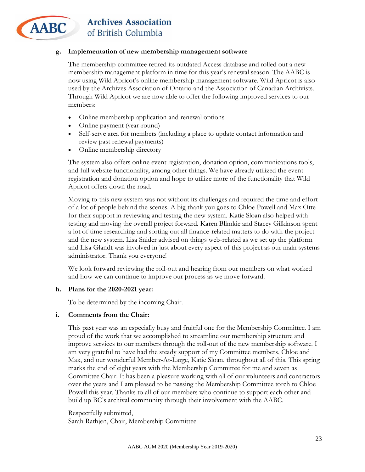

#### **g. Implementation of new membership management software**

The membership committee retired its outdated Access database and rolled out a new membership management platform in time for this year's renewal season. The AABC is now using Wild Apricot's online membership management software. Wild Apricot is also used by the Archives Association of Ontario and the Association of Canadian Archivists. Through Wild Apricot we are now able to offer the following improved services to our members:

- Online membership application and renewal options
- Online payment (year-round)
- Self-serve area for members (including a place to update contact information and review past renewal payments)
- Online membership directory

The system also offers online event registration, donation option, communications tools, and full website functionality, among other things. We have already utilized the event registration and donation option and hope to utilize more of the functionality that Wild Apricot offers down the road.

Moving to this new system was not without its challenges and required the time and effort of a lot of people behind the scenes. A big thank you goes to Chloe Powell and Max Otte for their support in reviewing and testing the new system. Katie Sloan also helped with testing and moving the overall project forward. Karen Blimkie and Stacey Gilkinson spent a lot of time researching and sorting out all finance-related matters to do with the project and the new system. Lisa Snider advised on things web-related as we set up the platform and Lisa Glandt was involved in just about every aspect of this project as our main systems administrator. Thank you everyone!

We look forward reviewing the roll-out and hearing from our members on what worked and how we can continue to improve our process as we move forward.

#### **h. Plans for the 2020-2021 year:**

To be determined by the incoming Chair.

#### **i. Comments from the Chair:**

This past year was an especially busy and fruitful one for the Membership Committee. I am proud of the work that we accomplished to streamline our membership structure and improve services to our members through the roll-out of the new membership software. I am very grateful to have had the steady support of my Committee members, Chloe and Max, and our wonderful Member-At-Large, Katie Sloan, throughout all of this. This spring marks the end of eight years with the Membership Committee for me and seven as Committee Chair. It has been a pleasure working with all of our volunteers and contractors over the years and I am pleased to be passing the Membership Committee torch to Chloe Powell this year. Thanks to all of our members who continue to support each other and build up BC's archival community through their involvement with the AABC.

Respectfully submitted, Sarah Rathjen, Chair, Membership Committee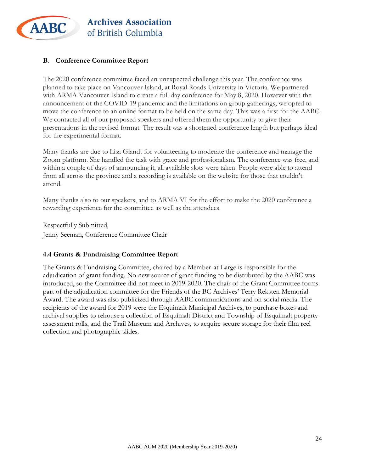

#### **B. Conference Committee Report**

The 2020 conference committee faced an unexpected challenge this year. The conference was planned to take place on Vancouver Island, at Royal Roads University in Victoria. We partnered with ARMA Vancouver Island to create a full day conference for May 8, 2020. However with the announcement of the COVID-19 pandemic and the limitations on group gatherings, we opted to move the conference to an online format to be held on the same day. This was a first for the AABC. We contacted all of our proposed speakers and offered them the opportunity to give their presentations in the revised format. The result was a shortened conference length but perhaps ideal for the experimental format.

Many thanks are due to Lisa Glandt for volunteering to moderate the conference and manage the Zoom platform. She handled the task with grace and professionalism. The conference was free, and within a couple of days of announcing it, all available slots were taken. People were able to attend from all across the province and a recording is available on the website for those that couldn't attend.

Many thanks also to our speakers, and to ARMA VI for the effort to make the 2020 conference a rewarding experience for the committee as well as the attendees.

Respectfully Submitted, Jenny Seeman, Conference Committee Chair

#### <span id="page-23-0"></span>**4.4 Grants & Fundraising Committee Report**

The Grants & Fundraising Committee, chaired by a Member-at-Large is responsible for the adjudication of grant funding. No new source of grant funding to be distributed by the AABC was introduced, so the Committee did not meet in 2019-2020. The chair of the Grant Committee forms part of the adjudication committee for the Friends of the BC Archives' Terry Reksten Memorial Award. The award was also publicized through AABC communications and on social media. The recipients of the award for 2019 were the Esquimalt Municipal Archives, to purchase boxes and archival supplies to rehouse a collection of Esquimalt District and Township of Esquimalt property assessment rolls, and the Trail Museum and Archives, to acquire secure storage for their film reel collection and photographic slides.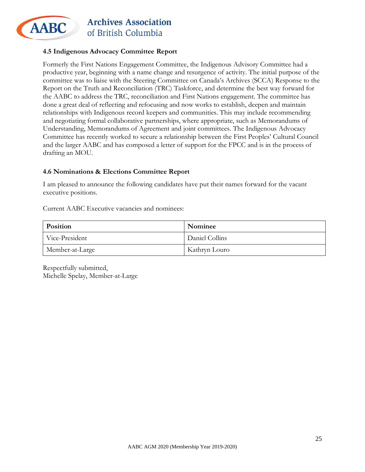

#### <span id="page-24-0"></span>**4.5 Indigenous Advocacy Committee Report**

Formerly the First Nations Engagement Committee, the Indigenous Advisory Committee had a productive year, beginning with a name change and resurgence of activity. The initial purpose of the committee was to liaise with the Steering Committee on Canada's Archives (SCCA) Response to the Report on the Truth and Reconciliation (TRC) Taskforce, and determine the best way forward for the AABC to address the TRC, reconciliation and First Nations engagement. The committee has done a great deal of reflecting and refocusing and now works to establish, deepen and maintain relationships with Indigenous record keepers and communities. This may include recommending and negotiating formal collaborative partnerships, where appropriate, such as Memorandums of Understanding, Memorandums of Agreement and joint committees. The Indigenous Advocacy Committee has recently worked to secure a relationship between the First Peoples' Cultural Council and the larger AABC and has composed a letter of support for the FPCC and is in the process of drafting an MOU.

#### <span id="page-24-1"></span>**4.6 Nominations & Elections Committee Report**

I am pleased to announce the following candidates have put their names forward for the vacant executive positions.

Current AABC Executive vacancies and nominees:

| Position        | Nominee        |
|-----------------|----------------|
| Vice-President  | Daniel Collins |
| Member-at-Large | Kathryn Louro  |

Respectfully submitted, Michelle Spelay, Member-at-Large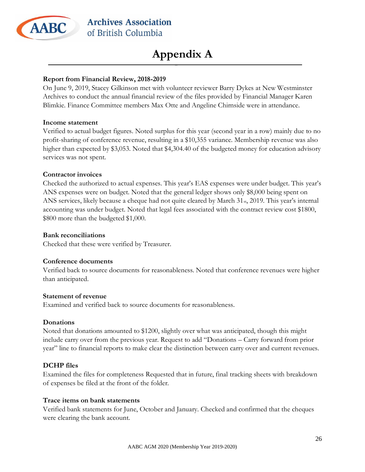

## **Appendix A**

#### <span id="page-25-0"></span>**Report from Financial Review, 2018-2019**

On June 9, 2019, Stacey Gilkinson met with volunteer reviewer Barry Dykes at New Westminster Archives to conduct the annual financial review of the files provided by Financial Manager Karen Blimkie. Finance Committee members Max Otte and Angeline Chirnside were in attendance.

#### **Income statement**

Verified to actual budget figures. Noted surplus for this year (second year in a row) mainly due to no profit-sharing of conference revenue, resulting in a \$10,355 variance. Membership revenue was also higher than expected by \$3,053. Noted that \$4,304.40 of the budgeted money for education advisory services was not spent.

#### **Contractor invoices**

Checked the authorized to actual expenses. This year's EAS expenses were under budget. This year's ANS expenses were on budget. Noted that the general ledger shows only \$8,000 being spent on ANS services, likely because a cheque had not quite cleared by March 31<sub>st</sub>, 2019. This year's internal accounting was under budget. Noted that legal fees associated with the contract review cost \$1800, \$800 more than the budgeted \$1,000.

#### **Bank reconciliations**

Checked that these were verified by Treasurer.

#### **Conference documents**

Verified back to source documents for reasonableness. Noted that conference revenues were higher than anticipated.

#### **Statement of revenue**

Examined and verified back to source documents for reasonableness.

#### **Donations**

Noted that donations amounted to \$1200, slightly over what was anticipated, though this might include carry over from the previous year. Request to add "Donations – Carry forward from prior year" line to financial reports to make clear the distinction between carry over and current revenues.

#### **DCHP files**

Examined the files for completeness Requested that in future, final tracking sheets with breakdown of expenses be filed at the front of the folder.

#### **Trace items on bank statements**

Verified bank statements for June, October and January. Checked and confirmed that the cheques were clearing the bank account.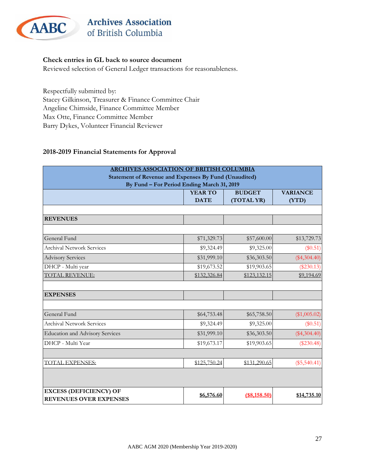

#### **Check entries in GL back to source document**

Reviewed selection of General Ledger transactions for reasonableness.

Respectfully submitted by: Stacey Gilkinson, Treasurer & Finance Committee Chair Angeline Chirnside, Finance Committee Member Max Otte, Finance Committee Member Barry Dykes, Volunteer Financial Reviewer

#### **2018-2019 Financial Statements for Approval**

| <b>ARCHIVES ASSOCIATION OF BRITISH COLUMBIA</b>       |                                            |               |                 |  |  |  |
|-------------------------------------------------------|--------------------------------------------|---------------|-----------------|--|--|--|
| Statement of Revenue and Expenses By Fund (Unaudited) |                                            |               |                 |  |  |  |
|                                                       | By Fund - For Period Ending March 31, 2019 |               |                 |  |  |  |
|                                                       | <b>YEAR TO</b>                             | <b>BUDGET</b> | <b>VARIANCE</b> |  |  |  |
|                                                       | <b>DATE</b>                                | (TOTAL YR)    | (YTD)           |  |  |  |
|                                                       |                                            |               |                 |  |  |  |
| <b>REVENUES</b>                                       |                                            |               |                 |  |  |  |
|                                                       |                                            |               |                 |  |  |  |
| General Fund                                          | \$71,329.73                                | \$57,600.00   | \$13,729.73     |  |  |  |
| <b>Archival Network Services</b>                      | \$9,324.49                                 | \$9,325.00    | $(\$0.51)$      |  |  |  |
| <b>Advisory Services</b>                              | \$31,999.10                                | \$36,303.50   | $(\$4,304.40)$  |  |  |  |
| DHCP - Multi year                                     | \$19,673.52                                | \$19,903.65   | $(\$230.13)$    |  |  |  |
| <b>TOTAL REVENUE:</b>                                 | \$132,326.84                               | \$123,132.15  | \$9,194.69      |  |  |  |
| <b>EXPENSES</b>                                       |                                            |               |                 |  |  |  |
|                                                       |                                            |               |                 |  |  |  |
| General Fund                                          | \$64,753.48                                | \$65,758.50   | (\$1,005.02)    |  |  |  |
| <b>Archival Network Services</b>                      | \$9,324.49                                 | \$9,325.00    | (\$0.51)        |  |  |  |
| <b>Education and Advisory Services</b>                | \$31,999.10                                | \$36,303.50   | $(\$4,304.40)$  |  |  |  |
| DHCP - Multi Year                                     | \$19,673.17                                | \$19,903.65   | $(\$230.48)$    |  |  |  |
| <b>TOTAL EXPENSES:</b>                                | \$125,750.24                               | \$131,290.65  | $(\$5,540.41)$  |  |  |  |
|                                                       |                                            |               |                 |  |  |  |
|                                                       |                                            |               |                 |  |  |  |
| <b>EXCESS (DEFICIENCY) OF</b>                         | \$6,576.60                                 | (\$8,158.50)  | \$14,735.10     |  |  |  |
| <b>REVENUES OVER EXPENSES</b>                         |                                            |               |                 |  |  |  |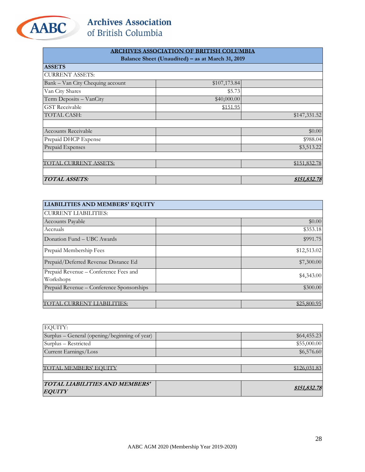

|                                  | <b>ARCHIVES ASSOCIATION OF BRITISH COLUMBIA</b>  |              |
|----------------------------------|--------------------------------------------------|--------------|
|                                  | Balance Sheet (Unaudited) - as at March 31, 2019 |              |
| <b>ASSETS</b>                    |                                                  |              |
| <b>CURRENT ASSETS:</b>           |                                                  |              |
| Bank - Van City Chequing account | \$107,173.84                                     |              |
| Van City Shares                  | \$5.73                                           |              |
| Term Deposits - VanCity          | \$40,000.00                                      |              |
| <b>GST</b> Receivable            | \$151.95                                         |              |
| TOTAL CASH:                      |                                                  | \$147,331.52 |
|                                  |                                                  |              |
| <b>Accounts Receivable</b>       |                                                  | \$0.00       |
| Prepaid DHCP Expense             |                                                  | \$988.04     |
| Prepaid Expenses                 |                                                  | \$3,513.22   |
|                                  |                                                  |              |
| TOTAL CURRENT ASSETS:            |                                                  | \$151,832.78 |
|                                  |                                                  |              |
| TOTAL ASSETS:                    |                                                  | \$151.832.78 |

| <b>LIABILITIES AND MEMBERS' EQUITY</b>             |             |
|----------------------------------------------------|-------------|
| <b>CURRENT LIABILITIES:</b>                        |             |
| Accounts Payable                                   | \$0.00      |
| Accruals                                           | \$353.18    |
| Donation Fund – UBC Awards                         | \$991.75    |
| Prepaid Membership Fees                            | \$12,513.02 |
| Prepaid/Deferred Revenue Distance Ed               | \$7,300.00  |
| Prepaid Revenue - Conference Fees and<br>Workshops | \$4,343.00  |
| Prepaid Revenue – Conference Sponsorships          | \$300.00    |
| ABILITIES:                                         | \$25,800.95 |

| <b>EQUITY:</b>                                |              |
|-----------------------------------------------|--------------|
| Surplus – General (opening/beginning of year) | \$64,455.23  |
| Surplus - Restricted                          | \$55,000.00  |
| Current Earnings/Loss                         | \$6,576.60   |
|                                               |              |
| TOTAL MEMBERS' EOUITY                         | \$126.031.83 |
|                                               |              |
| TOTAL LIABILITIES AND MEMBERS'                | \$151,832.78 |
| <b>EQUITY</b>                                 |              |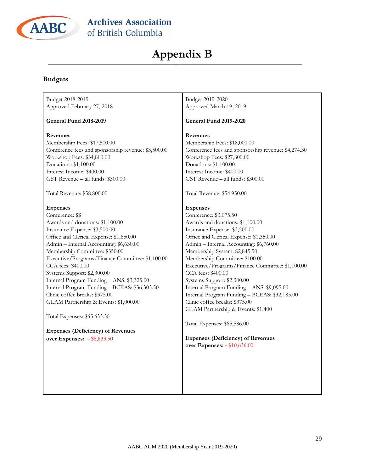

## **Appendix B**

#### <span id="page-28-0"></span>**Budgets**

#### Budget 2018-2019 Approved February 27, 2018

#### **General Fund 2018-2019**

#### **Revenues**

Membership Fees: \$17,500.00 Conference fees and sponsorship revenue: \$3,500.00 Workshop Fees: \$34,800.00 Donations: \$1,100.00 Interest Income: \$400.00 GST Revenue – all funds: \$300.00

Total Revenue: \$58,800.00

#### **Expenses**

Conference: \$\$ Awards and donations: \$1,100.00 Insurance Expense: \$3,500.00 Office and Clerical Expense: \$1,650.00 Admin – Internal Accounting: \$6,630.00 Membership Committee: \$350.00 Executive/Programs/Finance Committee: \$1,100.00 CCA fees: \$400.00 Systems Support: \$2,300.00 Internal Program Funding – ANS: \$3,325.00 Internal Program Funding – BCEAS: \$36,303.50 Clinic coffee breaks: \$375.00 GLAM Partnership & Events: \$1,000.00

Total Expenses: \$65,633.50

**Expenses (Deficiency) of Revenues over Expenses:** – \$6,833.50

Budget 2019-2020 Approved March 19, 2019

#### **General Fund 2019-2020**

#### **Revenues**

Membership Fees: \$18,000.00 Conference fees and sponsorship revenue: \$4,274.30 Workshop Fees: \$27,800.00 Donations: \$1,100.00 Interest Income: \$400.00 GST Revenue – all funds: \$300.00

Total Revenue: \$54,950.00

#### **Expenses**

Conference: \$3,075.50 Awards and donations: \$1,100.00 Insurance Expense: \$3,500.00 Office and Clerical Expense: \$1,350.00 Admin – Internal Accounting: \$6,760.00 Membership System: \$2,845.50 Membership Committee: \$100.00 Executive/Programs/Finance Committee: \$1,100.00 CCA fees: \$400.00 Systems Support: \$2,300.00 Internal Program Funding – ANS: \$9,095.00 Internal Program Funding – BCEAS: \$32,185.00 Clinic coffee breaks: \$375.00 GLAM Partnership & Events: \$1,400

Total Expenses: \$65,586.00

**Expenses (Deficiency) of Revenues over Expenses:** – \$10,636.00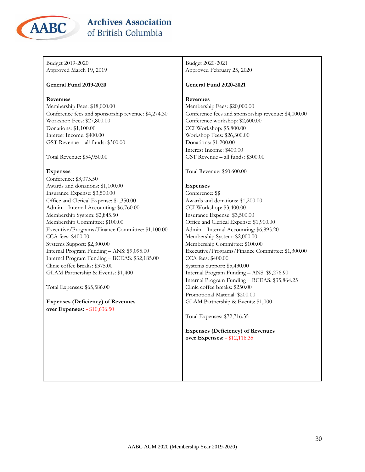

| Budget 2019-2020                                    | Budget 2020-2021                                    |
|-----------------------------------------------------|-----------------------------------------------------|
| Approved March 19, 2019                             | Approved February 25, 2020                          |
| <b>General Fund 2019-2020</b>                       | <b>General Fund 2020-2021</b>                       |
| <b>Revenues</b>                                     | Revenues                                            |
| Membership Fees: \$18,000.00                        | Membership Fees: \$20,000.00                        |
| Conference fees and sponsorship revenue: \$4,274.30 | Conference fees and sponsorship revenue: \$4,000.00 |
| Workshop Fees: \$27,800.00                          | Conference workshop: \$2,600.00                     |
| Donations: \$1,100.00                               | CCI Workshop: \$5,800.00                            |
| Interest Income: \$400.00                           | Workshop Fees: \$26,300.00                          |
| GST Revenue - all funds: \$300.00                   | Donations: \$1,200.00                               |
|                                                     | Interest Income: \$400.00                           |
| Total Revenue: \$54,950.00                          | GST Revenue - all funds: \$300.00                   |
| <b>Expenses</b>                                     | Total Revenue: \$60,600.00                          |
| Conference: \$3,075.50                              |                                                     |
| Awards and donations: \$1,100.00                    | <b>Expenses</b>                                     |
| Insurance Expense: \$3,500.00                       | Conference: \$\$                                    |
| Office and Clerical Expense: \$1,350.00             | Awards and donations: \$1,200.00                    |
| Admin - Internal Accounting: \$6,760.00             | CCI Workshop: \$3,400.00                            |
| Membership System: \$2,845.50                       | Insurance Expense: \$3,500.00                       |
| Membership Committee: \$100.00                      | Office and Clerical Expense: \$1,900.00             |
| Executive/Programs/Finance Committee: \$1,100.00    | Admin - Internal Accounting: \$6,895.20             |
| CCA fees: \$400.00                                  | Membership System: \$2,000.00                       |
| Systems Support: \$2,300.00                         | Membership Committee: \$100.00                      |
| Internal Program Funding - ANS: \$9,095.00          | Executive/Programs/Finance Committee: \$1,300.00    |
| Internal Program Funding - BCEAS: \$32,185.00       | CCA fees: \$400.00                                  |
| Clinic coffee breaks: \$375.00                      | Systems Support: \$5,430.00                         |
| GLAM Partnership & Events: \$1,400                  | Internal Program Funding - ANS: \$9,276.90          |
|                                                     | Internal Program Funding - BCEAS: \$35,864.25       |
| Total Expenses: \$65,586.00                         | Clinic coffee breaks: \$250.00                      |
|                                                     | Promotional Material: \$200.00                      |
| <b>Expenses (Deficiency) of Revenues</b>            | GLAM Partnership & Events: \$1,000                  |
| over Expenses: - \$10,636.50                        |                                                     |
|                                                     | Total Expenses: \$72,716.35                         |
|                                                     | <b>Expenses (Deficiency) of Revenues</b>            |
|                                                     | over Expenses: - \$12,116.35                        |
|                                                     |                                                     |
|                                                     |                                                     |
|                                                     |                                                     |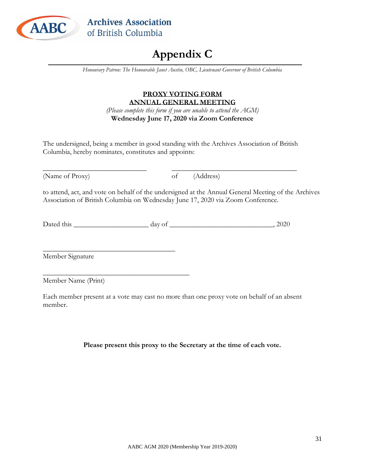<span id="page-30-0"></span>

## **Appendix C**

*Honourary Patron: The Honourable Janet Austin, OBC, Lieutenant Governor of British Columbia*

### **PROXY VOTING FORM ANNUAL GENERAL MEETING**

*(Please complete this form if you are unable to attend the AGM)* **Wednesday June 17, 2020 via Zoom Conference**

The undersigned, being a member in good standing with the Archives Association of British Columbia, hereby nominates, constitutes and appoints:

\_\_\_\_\_\_\_\_\_\_\_\_\_\_\_\_\_\_\_\_\_\_\_\_\_\_\_\_\_ \_\_\_\_\_\_\_\_\_\_\_\_\_\_\_\_\_\_\_\_\_\_\_\_\_\_\_\_\_\_\_\_\_\_\_ (Name of Proxy) of (Address)

to attend, act, and vote on behalf of the undersigned at the Annual General Meeting of the Archives Association of British Columbia on Wednesday June 17, 2020 via Zoom Conference.

Dated this \_\_\_\_\_\_\_\_\_\_\_\_\_\_\_\_\_\_\_\_\_ day of \_\_\_\_\_\_\_\_\_\_\_\_\_\_\_\_\_\_\_\_\_\_\_\_\_\_\_\_\_, 2020

\_\_\_\_\_\_\_\_\_\_\_\_\_\_\_\_\_\_\_\_\_\_\_\_\_\_\_\_\_\_\_\_\_\_\_\_\_ Member Signature

Member Name (Print)

 $\overline{\phantom{a}}$  , where  $\overline{\phantom{a}}$  , where  $\overline{\phantom{a}}$  ,  $\overline{\phantom{a}}$  ,  $\overline{\phantom{a}}$  ,  $\overline{\phantom{a}}$  ,  $\overline{\phantom{a}}$  ,  $\overline{\phantom{a}}$  ,  $\overline{\phantom{a}}$  ,  $\overline{\phantom{a}}$  ,  $\overline{\phantom{a}}$  ,  $\overline{\phantom{a}}$  ,  $\overline{\phantom{a}}$  ,  $\overline{\phantom{a}}$  ,  $\overline{\phantom{a}}$  ,

Each member present at a vote may cast no more than one proxy vote on behalf of an absent member.

**Please present this proxy to the Secretary at the time of each vote.**